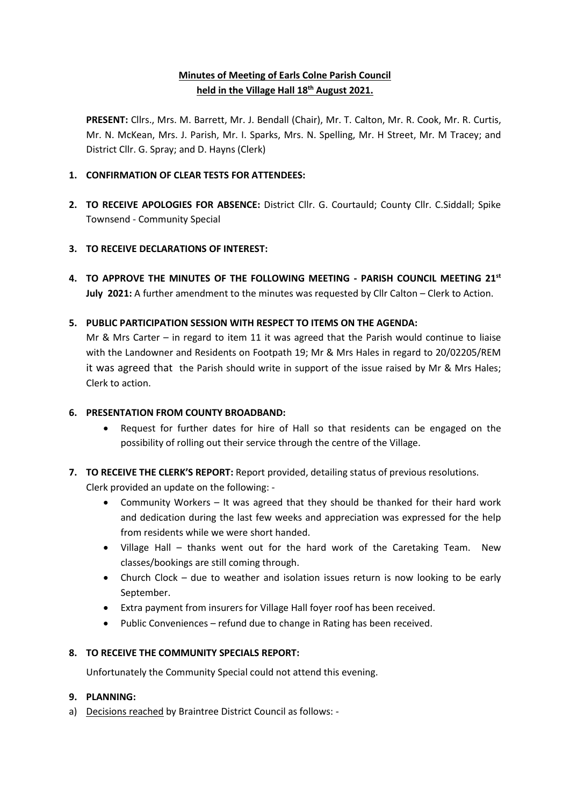# **Minutes of Meeting of Earls Colne Parish Council held in the Village Hall 18th August 2021.**

**PRESENT:** Cllrs., Mrs. M. Barrett, Mr. J. Bendall (Chair), Mr. T. Calton, Mr. R. Cook, Mr. R. Curtis, Mr. N. McKean, Mrs. J. Parish, Mr. I. Sparks, Mrs. N. Spelling, Mr. H Street, Mr. M Tracey; and District Cllr. G. Spray; and D. Hayns (Clerk)

## **1. CONFIRMATION OF CLEAR TESTS FOR ATTENDEES:**

**2. TO RECEIVE APOLOGIES FOR ABSENCE:** District Cllr. G. Courtauld; County Cllr. C.Siddall; Spike Townsend - Community Special

## **3. TO RECEIVE DECLARATIONS OF INTEREST:**

**4. TO APPROVE THE MINUTES OF THE FOLLOWING MEETING - PARISH COUNCIL MEETING 21st July 2021:** A further amendment to the minutes was requested by Cllr Calton – Clerk to Action.

## **5. PUBLIC PARTICIPATION SESSION WITH RESPECT TO ITEMS ON THE AGENDA:**

Mr & Mrs Carter – in regard to item 11 it was agreed that the Parish would continue to liaise with the Landowner and Residents on Footpath 19; Mr & Mrs Hales in regard to 20/02205/REM it was agreed that the Parish should write in support of the issue raised by Mr & Mrs Hales; Clerk to action.

## **6. PRESENTATION FROM COUNTY BROADBAND:**

- Request for further dates for hire of Hall so that residents can be engaged on the possibility of rolling out their service through the centre of the Village.
- **7. TO RECEIVE THE CLERK'S REPORT:** Report provided, detailing status of previous resolutions.

Clerk provided an update on the following: -

- Community Workers It was agreed that they should be thanked for their hard work and dedication during the last few weeks and appreciation was expressed for the help from residents while we were short handed.
- Village Hall thanks went out for the hard work of the Caretaking Team. New classes/bookings are still coming through.
- Church Clock due to weather and isolation issues return is now looking to be early September.
- Extra payment from insurers for Village Hall foyer roof has been received.
- Public Conveniences refund due to change in Rating has been received.

## **8. TO RECEIVE THE COMMUNITY SPECIALS REPORT:**

Unfortunately the Community Special could not attend this evening.

## **9. PLANNING:**

a) Decisions reached by Braintree District Council as follows: -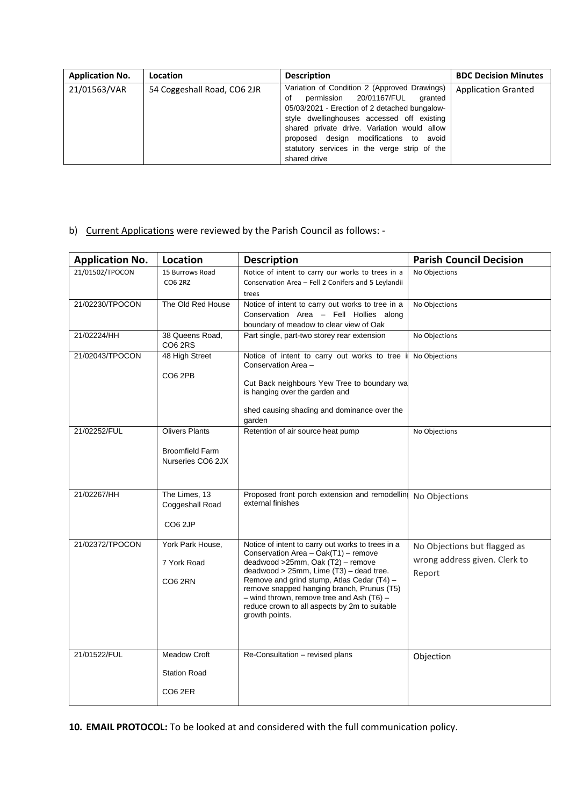| <b>Application No.</b> | Location                    | <b>Description</b>                                                                                                                                                                                                                                                                                                                            | <b>BDC Decision Minutes</b> |
|------------------------|-----------------------------|-----------------------------------------------------------------------------------------------------------------------------------------------------------------------------------------------------------------------------------------------------------------------------------------------------------------------------------------------|-----------------------------|
| 21/01563/VAR           | 54 Coggeshall Road, CO6 2JR | Variation of Condition 2 (Approved Drawings)<br>permission 20/01167/FUL granted<br>of<br>05/03/2021 - Erection of 2 detached bungalow-<br>style dwellinghouses accessed off existing<br>shared private drive. Variation would allow<br>proposed design modifications to avoid<br>statutory services in the verge strip of the<br>shared drive | <b>Application Granted</b>  |

# b) Current Applications were reviewed by the Parish Council as follows: -

| <b>Application No.</b> | Location                                                             | <b>Description</b>                                                                                                                                                                                                                                                                                                                                                                             | <b>Parish Council Decision</b>                                          |
|------------------------|----------------------------------------------------------------------|------------------------------------------------------------------------------------------------------------------------------------------------------------------------------------------------------------------------------------------------------------------------------------------------------------------------------------------------------------------------------------------------|-------------------------------------------------------------------------|
| 21/01502/TPOCON        | 15 Burrows Road<br><b>CO6 2RZ</b>                                    | Notice of intent to carry our works to trees in a<br>Conservation Area - Fell 2 Conifers and 5 Leylandii<br>trees                                                                                                                                                                                                                                                                              | No Objections                                                           |
| 21/02230/TPOCON        | The Old Red House                                                    | Notice of intent to carry out works to tree in a<br>Conservation Area - Fell Hollies along<br>boundary of meadow to clear view of Oak                                                                                                                                                                                                                                                          | No Objections                                                           |
| 21/02224/HH            | 38 Queens Road,<br>CO <sub>6</sub> 2RS                               | Part single, part-two storey rear extension                                                                                                                                                                                                                                                                                                                                                    | No Objections                                                           |
| 21/02043/TPOCON        | 48 High Street<br>CO <sub>6</sub> 2PB                                | Notice of intent to carry out works to tree<br>Conservation Area -<br>Cut Back neighbours Yew Tree to boundary wa<br>is hanging over the garden and<br>shed causing shading and dominance over the                                                                                                                                                                                             | No Objections                                                           |
| 21/02252/FUL           | <b>Olivers Plants</b><br><b>Broomfield Farm</b><br>Nurseries CO6 2JX | garden<br>Retention of air source heat pump                                                                                                                                                                                                                                                                                                                                                    | No Objections                                                           |
| 21/02267/HH            | The Limes, 13<br>Coggeshall Road<br>CO <sub>6</sub> 2JP              | Proposed front porch extension and remodelling<br>external finishes                                                                                                                                                                                                                                                                                                                            | No Objections                                                           |
| 21/02372/TPOCON        | York Park House,<br>7 York Road<br><b>CO6 2RN</b>                    | Notice of intent to carry out works to trees in a<br>Conservation Area - Oak(T1) - remove<br>deadwood >25mm, Oak (T2) - remove<br>$deadwood > 25mm$ , Lime $(T3)$ – dead tree.<br>Remove and grind stump, Atlas Cedar (T4) -<br>remove snapped hanging branch, Prunus (T5)<br>$-$ wind thrown, remove tree and Ash (T6) $-$<br>reduce crown to all aspects by 2m to suitable<br>growth points. | No Objections but flagged as<br>wrong address given. Clerk to<br>Report |
| 21/01522/FUL           | <b>Meadow Croft</b><br><b>Station Road</b><br>CO <sub>6</sub> 2ER    | Re-Consultation - revised plans                                                                                                                                                                                                                                                                                                                                                                | Objection                                                               |

**10. EMAIL PROTOCOL:** To be looked at and considered with the full communication policy.